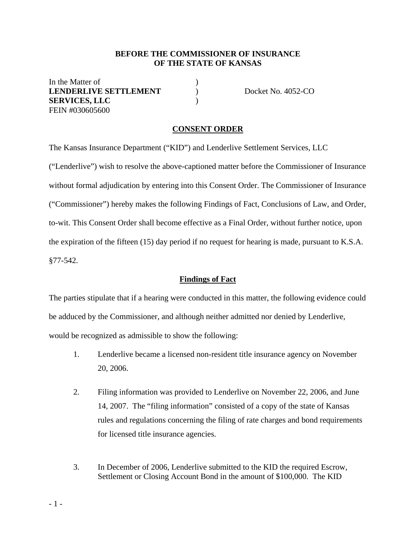### **BEFORE THE COMMISSIONER OF INSURANCE OF THE STATE OF KANSAS**

In the Matter of  $\qquad \qquad$  ) **LENDERLIVE SETTLEMENT**  $\qquad$  Docket No. 4052-CO **SERVICES, LLC** ) FEIN #030605600

#### **CONSENT ORDER**

The Kansas Insurance Department ("KID") and Lenderlive Settlement Services, LLC ("Lenderlive") wish to resolve the above-captioned matter before the Commissioner of Insurance without formal adjudication by entering into this Consent Order. The Commissioner of Insurance ("Commissioner") hereby makes the following Findings of Fact, Conclusions of Law, and Order, to-wit. This Consent Order shall become effective as a Final Order, without further notice, upon the expiration of the fifteen (15) day period if no request for hearing is made, pursuant to K.S.A. §77-542.

#### **Findings of Fact**

The parties stipulate that if a hearing were conducted in this matter, the following evidence could be adduced by the Commissioner, and although neither admitted nor denied by Lenderlive, would be recognized as admissible to show the following:

- 1. Lenderlive became a licensed non-resident title insurance agency on November 20, 2006.
- 2. Filing information was provided to Lenderlive on November 22, 2006, and June 14, 2007. The "filing information" consisted of a copy of the state of Kansas rules and regulations concerning the filing of rate charges and bond requirements for licensed title insurance agencies.
- 3. In December of 2006, Lenderlive submitted to the KID the required Escrow, Settlement or Closing Account Bond in the amount of \$100,000. The KID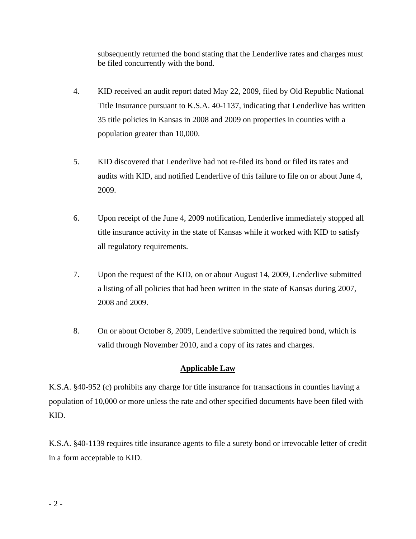subsequently returned the bond stating that the Lenderlive rates and charges must be filed concurrently with the bond.

- 4. KID received an audit report dated May 22, 2009, filed by Old Republic National Title Insurance pursuant to K.S.A. 40-1137, indicating that Lenderlive has written 35 title policies in Kansas in 2008 and 2009 on properties in counties with a population greater than 10,000.
- 5. KID discovered that Lenderlive had not re-filed its bond or filed its rates and audits with KID, and notified Lenderlive of this failure to file on or about June 4, 2009.
- 6. Upon receipt of the June 4, 2009 notification, Lenderlive immediately stopped all title insurance activity in the state of Kansas while it worked with KID to satisfy all regulatory requirements.
- 7. Upon the request of the KID, on or about August 14, 2009, Lenderlive submitted a listing of all policies that had been written in the state of Kansas during 2007, 2008 and 2009.
- 8. On or about October 8, 2009, Lenderlive submitted the required bond, which is valid through November 2010, and a copy of its rates and charges.

# **Applicable Law**

K.S.A. §40-952 (c) prohibits any charge for title insurance for transactions in counties having a population of 10,000 or more unless the rate and other specified documents have been filed with KID.

K.S.A. §40-1139 requires title insurance agents to file a surety bond or irrevocable letter of credit in a form acceptable to KID.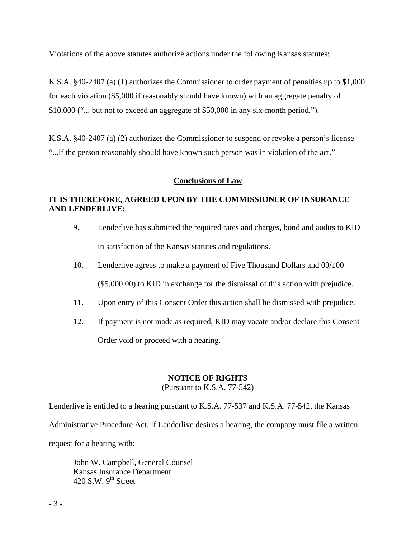Violations of the above statutes authorize actions under the following Kansas statutes:

K.S.A. §40-2407 (a) (1) authorizes the Commissioner to order payment of penalties up to \$1,000 for each violation (\$5,000 if reasonably should have known) with an aggregate penalty of \$10,000 ("... but not to exceed an aggregate of \$50,000 in any six-month period.").

K.S.A. §40-2407 (a) (2) authorizes the Commissioner to suspend or revoke a person's license "...if the person reasonably should have known such person was in violation of the act."

### **Conclusions of Law**

### **IT IS THEREFORE, AGREED UPON BY THE COMMISSIONER OF INSURANCE AND LENDERLIVE:**

- 9. Lenderlive has submitted the required rates and charges, bond and audits to KID in satisfaction of the Kansas statutes and regulations.
- 10. Lenderlive agrees to make a payment of Five Thousand Dollars and 00/100 (\$5,000.00) to KID in exchange for the dismissal of this action with prejudice.
- 11. Upon entry of this Consent Order this action shall be dismissed with prejudice.
- 12. If payment is not made as required, KID may vacate and/or declare this Consent Order void or proceed with a hearing.

# **NOTICE OF RIGHTS**

(Pursuant to K.S.A. 77-542)

Lenderlive is entitled to a hearing pursuant to K.S.A. 77-537 and K.S.A. 77-542, the Kansas Administrative Procedure Act. If Lenderlive desires a hearing, the company must file a written request for a hearing with:

 John W. Campbell, General Counsel Kansas Insurance Department 420 S.W.  $9<sup>th</sup>$  Street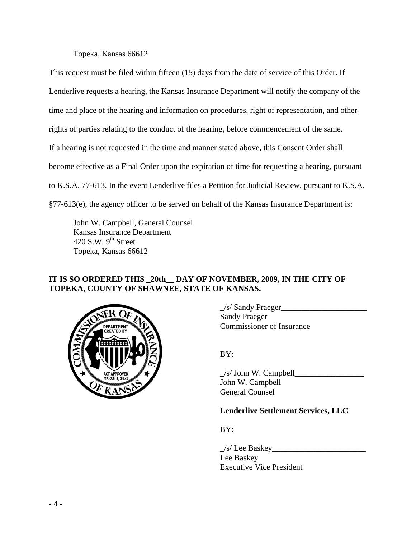Topeka, Kansas 66612

This request must be filed within fifteen (15) days from the date of service of this Order. If Lenderlive requests a hearing, the Kansas Insurance Department will notify the company of the time and place of the hearing and information on procedures, right of representation, and other rights of parties relating to the conduct of the hearing, before commencement of the same. If a hearing is not requested in the time and manner stated above, this Consent Order shall become effective as a Final Order upon the expiration of time for requesting a hearing, pursuant to K.S.A. 77-613. In the event Lenderlive files a Petition for Judicial Review, pursuant to K.S.A. §77-613(e), the agency officer to be served on behalf of the Kansas Insurance Department is:

 John W. Campbell, General Counsel Kansas Insurance Department 420 S.W.  $9<sup>th</sup>$  Street Topeka, Kansas 66612

## **IT IS SO ORDERED THIS \_20th\_\_ DAY OF NOVEMBER, 2009, IN THE CITY OF TOPEKA, COUNTY OF SHAWNEE, STATE OF KANSAS.**



 $\angle$ s/ Sandy Praeger Sandy Praeger Commissioner of Insurance

 $\angle$ s/ John W. Campbell $\angle$  John W. Campbell General Counsel

## **Lenderlive Settlement Services, LLC**

BY:

 $\angle$ s/ Lee Baskey $\angle$  Lee Baskey Executive Vice President